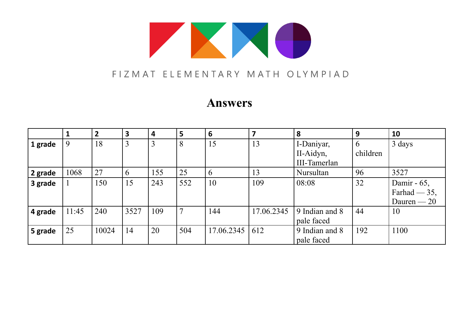

### FIZMAT ELEMENTARY MATH OLYMPIAD

## **Answers**

|         |       | $\overline{2}$ | $\overline{\mathbf{3}}$ | 4   | 5   | 6          | $\overline{\mathbf{z}}$ | 8              | 9        | 10             |
|---------|-------|----------------|-------------------------|-----|-----|------------|-------------------------|----------------|----------|----------------|
| 1 grade | 9     | 18             | 3                       | 3   | 8   | 15         | 13                      | I-Daniyar,     | 6        | 3 days         |
|         |       |                |                         |     |     |            |                         | II-Aidyn,      | children |                |
|         |       |                |                         |     |     |            |                         | III-Tamerlan   |          |                |
| 2 grade | 1068  | 27             |                         | 155 | 25  | 6          | 13                      | Nursultan      | 96       | 3527           |
| 3 grade |       | 150            | 15                      | 243 | 552 | 10         | 109                     | 08:08          | 32       | Damir - 65,    |
|         |       |                |                         |     |     |            |                         |                |          | Farhad $-35$ , |
|         |       |                |                         |     |     |            |                         |                |          | Dauren $-20$   |
| 4 grade | 11:45 | 240            | 3527                    | 109 |     | 144        | 17.06.2345              | 9 Indian and 8 | 44       | 10             |
|         |       |                |                         |     |     |            |                         | pale faced     |          |                |
| 5 grade | 25    | 10024          | 14                      | 20  | 504 | 17.06.2345 | 612                     | 9 Indian and 8 | 192      | 1100           |
|         |       |                |                         |     |     |            |                         | pale faced     |          |                |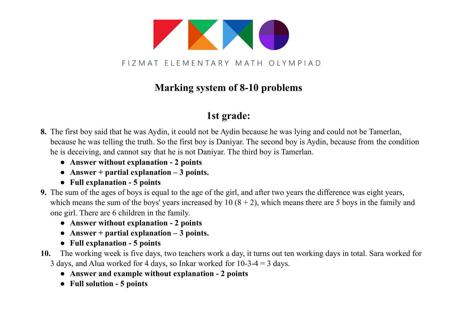

## **Marking system of 8-10 problems**

### **1st grade:**

- **8.** The first boy said that he was Aydin, it could not be Aydin because he was lying and could not be Tamerlan, because he was telling the truth. So the first boy is Daniyar. The second boy is Aydin, because from the condition he is deceiving, and cannot say that he is not Daniyar. The third boy is Tamerlan.
	- **● Answer without explanation 2 points**
	- **● Answer + partial explanation 3 points.**
	- **● Full explanation 5 points**
- **9.** The sum of the ages of boys is equal to the age of the girl, and after two years the difference was eight years, which means the sum of the boys' years increased by  $10 (8 + 2)$ , which means there are 5 boys in the family and one girl. There are 6 children in the family.
	- **● Answer without explanation 2 points**
	- **● Answer + partial explanation 3 points.**
	- **● Full explanation 5 points**
- **10.** The working week is five days, two teachers work a day, it turns out ten working days in total. Sara worked for 3 days, and Alua worked for 4 days, so Inkar worked for 10-3-4 = 3 days.
	- **● Answer and example without explanation 2 points**
	- **● Full solution 5 points**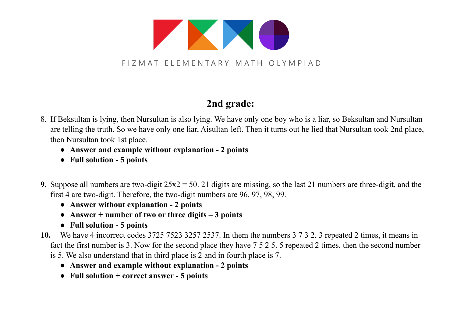

# **2nd grade:**

- 8. If Beksultan is lying, then Nursultan is also lying. We have only one boy who is a liar, so Beksultan and Nursultan are telling the truth. So we have only one liar, Aisultan left. Then it turns out he lied that Nursultan took 2nd place, then Nursultan took 1st place.
	- **● Answer and example without explanation 2 points**
	- **● Full solution 5 points**
- **9.** Suppose all numbers are two-digit 25x2 = 50. 21 digits are missing, so the last 21 numbers are three-digit, and the first 4 are two-digit. Therefore, the two-digit numbers are 96, 97, 98, 99.
	- **● Answer without explanation 2 points**
	- **● Answer + number of two or three digits 3 points**
	- **● Full solution 5 points**
- **10.** We have 4 incorrect codes 3725 7523 3257 2537. In them the numbers 3 7 3 2. 3 repeated 2 times, it means in fact the first number is 3. Now for the second place they have 7 5 2 5. 5 repeated 2 times, then the second number is 5. We also understand that in third place is 2 and in fourth place is 7.
	- **● Answer and example without explanation 2 points**
	- **● Full solution + correct answer 5 points**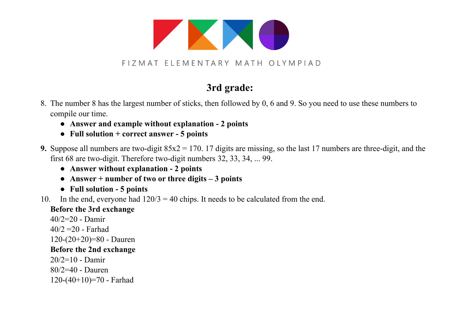

FIZMAT ELEMENTARY MATH OLYMPIAD

## **3rd grade:**

- 8. The number 8 has the largest number of sticks, then followed by 0, 6 and 9. So you need to use these numbers to compile our time.
	- **● Answer and example without explanation 2 points**
	- **● Full solution + correct answer 5 points**
- **9.** Suppose all numbers are two-digit 85x2 = 170. 17 digits are missing, so the last 17 numbers are three-digit, and the first 68 are two-digit. Therefore two-digit numbers 32, 33, 34, ... 99.
	- **● Answer without explanation 2 points**
	- **● Answer + number of two or three digits 3 points**
	- **● Full solution 5 points**
- 10. In the end, everyone had  $120/3 = 40$  chips. It needs to be calculated from the end.

#### **Before the 3rd exchange**

40/2=20 - Damir  $40/2 = 20$  - Farhad 120-(20+20)=80 - Dauren **Before the 2nd exchange**  $20/2=10$  - Damir 80/2=40 - Dauren 120-(40+10)=70 - Farhad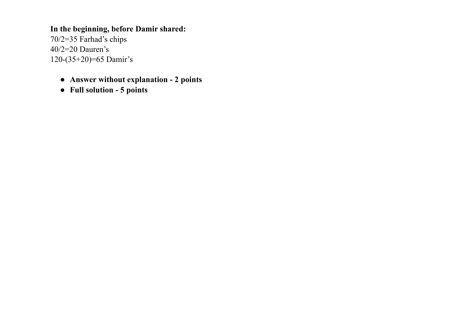**In the beginning, before Damir shared:** 70/2=35 Farhad's chips 40/2=20 Dauren's 120-(35+20)=65 Damir's

- **● Answer without explanation 2 points**
- **● Full solution 5 points**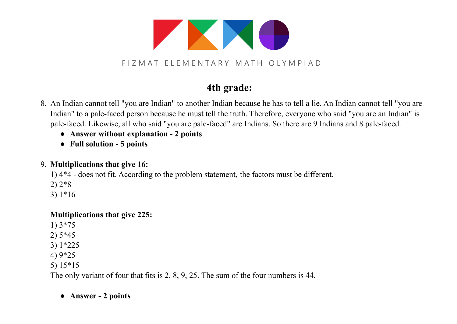

FIZMAT ELEMENTARY MATH OLYMPIAD

### **4th grade:**

- 8. An Indian cannot tell "you are Indian" to another Indian because he has to tell a lie. An Indian cannot tell "you are Indian" to a pale-faced person because he must tell the truth. Therefore, everyone who said "you are an Indian" is pale-faced. Likewise, all who said "you are pale-faced" are Indians. So there are 9 Indians and 8 pale-faced.
	- **● Answer without explanation 2 points**
	- **● Full solution 5 points**

#### 9. **Multiplications that give 16:**

1) 4\*4 - does not fit. According to the problem statement, the factors must be different.

- 2) 2\*8
- 3) 1\*16

#### **Multiplications that give 225:**

- 1) 3\*75
- 2) 5\*45
- 3) 1\*225
- 4) 9\*25
- 5) 15\*15

The only variant of four that fits is 2, 8, 9, 25. The sum of the four numbers is 44.

### **● Answer - 2 points**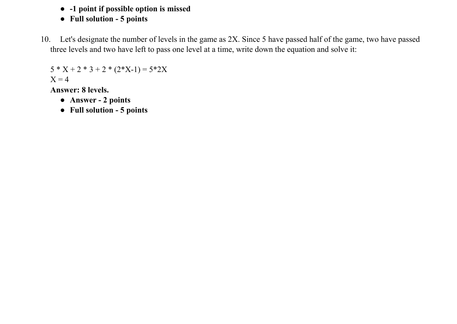- **● -1 point if possible option is missed**
- **● Full solution 5 points**
- 10. Let's designate the number of levels in the game as 2X. Since 5 have passed half of the game, two have passed three levels and two have left to pass one level at a time, write down the equation and solve it:

 $5 * X + 2 * 3 + 2 * (2 * X - 1) = 5 * 2X$  $X = 4$ 

**Answer: 8 levels.**

- **● Answer 2 points**
- **● Full solution 5 points**